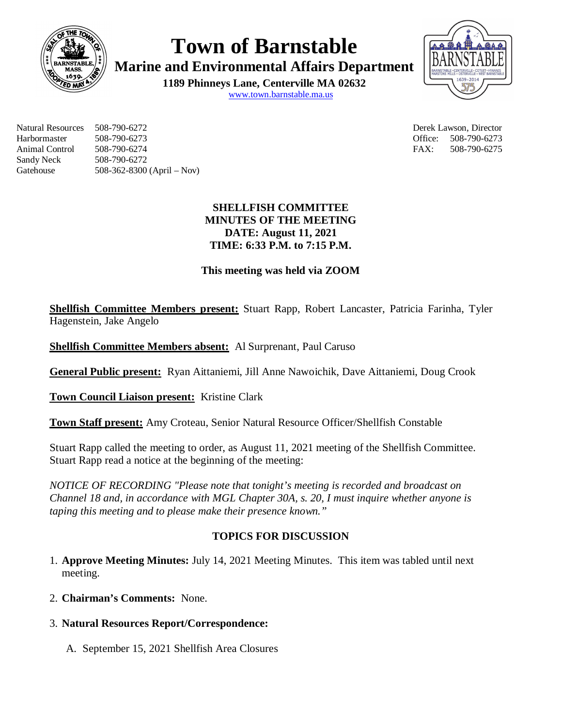

**Town of Barnstable**

**Marine and Environmental Affairs Department**

**1189 Phinneys Lane, Centerville MA 02632** www.town.barnstable.ma.us



Natural Resources 508-790-6272 Derek Lawson, Director Harbormaster 508-790-6273 Office: 508-790-6273 Animal Control 508-790-6274 FAX: 508-790-6275 Sandy Neck 508-790-6272 Gatehouse 508-362-8300 (April – Nov)

# **SHELLFISH COMMITTEE MINUTES OF THE MEETING DATE: August 11, 2021 TIME: 6:33 P.M. to 7:15 P.M.**

# **This meeting was held via ZOOM**

**Shellfish Committee Members present:** Stuart Rapp, Robert Lancaster, Patricia Farinha, Tyler Hagenstein, Jake Angelo

**Shellfish Committee Members absent:** Al Surprenant, Paul Caruso

**General Public present:** Ryan Aittaniemi, Jill Anne Nawoichik, Dave Aittaniemi, Doug Crook

**Town Council Liaison present:** Kristine Clark

**Town Staff present:** Amy Croteau, Senior Natural Resource Officer/Shellfish Constable

Stuart Rapp called the meeting to order, as August 11, 2021 meeting of the Shellfish Committee. Stuart Rapp read a notice at the beginning of the meeting:

*NOTICE OF RECORDING "Please note that tonight's meeting is recorded and broadcast on Channel 18 and, in accordance with MGL Chapter 30A, s. 20, I must inquire whether anyone is taping this meeting and to please make their presence known."*

# **TOPICS FOR DISCUSSION**

- 1. **Approve Meeting Minutes:** July 14, 2021 Meeting Minutes. This item was tabled until next meeting.
- 2. **Chairman's Comments:** None.

# 3. **Natural Resources Report/Correspondence:**

A. September 15, 2021 Shellfish Area Closures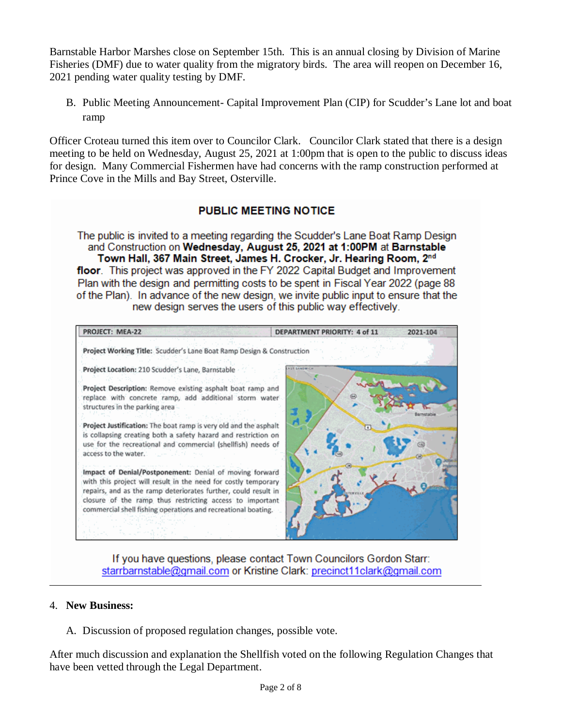Barnstable Harbor Marshes close on September 15th. This is an annual closing by Division of Marine Fisheries (DMF) due to water quality from the migratory birds. The area will reopen on December 16, 2021 pending water quality testing by DMF.

B. Public Meeting Announcement- Capital Improvement Plan (CIP) for Scudder's Lane lot and boat ramp

Officer Croteau turned this item over to Councilor Clark. Councilor Clark stated that there is a design meeting to be held on Wednesday, August 25, 2021 at 1:00pm that is open to the public to discuss ideas for design. Many Commercial Fishermen have had concerns with the ramp construction performed at Prince Cove in the Mills and Bay Street, Osterville.

# **PUBLIC MEETING NOTICE**

The public is invited to a meeting regarding the Scudder's Lane Boat Ramp Design and Construction on Wednesday, August 25, 2021 at 1:00PM at Barnstable Town Hall, 367 Main Street, James H. Crocker, Jr. Hearing Room, 2nd floor. This project was approved in the FY 2022 Capital Budget and Improvement Plan with the design and permitting costs to be spent in Fiscal Year 2022 (page 88) of the Plan). In advance of the new design, we invite public input to ensure that the new design serves the users of this public way effectively.

PROJECT: MEA-22 **DEPARTMENT PRIORITY: 4 of 11** 2021-104 Project Working Title: Scudder's Lane Boat Ramp Design & Construction Project Location: 210 Scudder's Lane, Barnstable Project Description: Remove existing asphalt boat ramp and replace with concrete ramp, add additional storm water structures in the parking area Project Justification: The boat ramp is very old and the asphalt is collapsing creating both a safety hazard and restriction on use for the recreational and commercial (shellfish) needs of access to the water. Impact of Denial/Postponement: Denial of moving forward with this project will result in the need for costly temporary repairs, and as the ramp deteriorates further, could result in closure of the ramp thus restricting access to important commercial shell fishing operations and recreational boating.

If you have questions, please contact Town Councilors Gordon Starr: starrbarnstable@gmail.com or Kristine Clark: precinct11clark@gmail.com

## 4. **New Business:**

A. Discussion of proposed regulation changes, possible vote.

After much discussion and explanation the Shellfish voted on the following Regulation Changes that have been vetted through the Legal Department.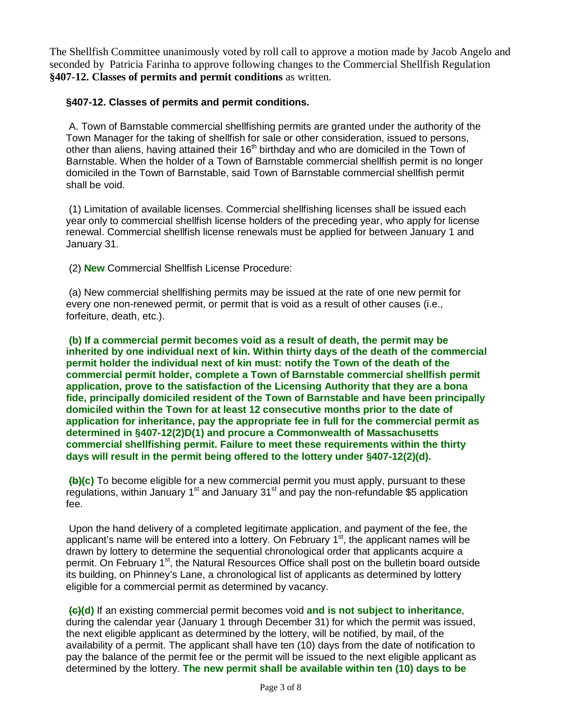The Shellfish Committee unanimously voted by roll call to approve a motion made by Jacob Angelo and seconded by Patricia Farinha to approve following changes to the Commercial Shellfish Regulation **§407-12. Classes of permits and permit conditions** as written.

## **§407-12. Classes of permits and permit conditions.**

A. Town of Barnstable commercial shellfishing permits are granted under the authority of the Town Manager for the taking of shellfish for sale or other consideration, issued to persons, other than aliens, having attained their 16<sup>th</sup> birthday and who are domiciled in the Town of Barnstable. When the holder of a Town of Barnstable commercial shellfish permit is no longer domiciled in the Town of Barnstable, said Town of Barnstable commercial shellfish permit shall be void.

(1) Limitation of available licenses. Commercial shellfishing licenses shall be issued each year only to commercial shellfish license holders of the preceding year, who apply for license renewal. Commercial shellfish license renewals must be applied for between January 1 and January 31.

(2) **New** Commercial Shellfish License Procedure:

(a) New commercial shellfishing permits may be issued at the rate of one new permit for every one non-renewed permit, or permit that is void as a result of other causes (i.e., forfeiture, death, etc.).

**(b) If a commercial permit becomes void as a result of death, the permit may be inherited by one individual next of kin. Within thirty days of the death of the commercial permit holder the individual next of kin must: notify the Town of the death of the commercial permit holder, complete a Town of Barnstable commercial shellfish permit application, prove to the satisfaction of the Licensing Authority that they are a bona fide, principally domiciled resident of the Town of Barnstable and have been principally domiciled within the Town for at least 12 consecutive months prior to the date of application for inheritance, pay the appropriate fee in full for the commercial permit as determined in §407-12(2)D(1) and procure a Commonwealth of Massachusetts commercial shellfishing permit. Failure to meet these requirements within the thirty days will result in the permit being offered to the lottery under §407-12(2)(d).**

**(b)(c)** To become eligible for a new commercial permit you must apply, pursuant to these regulations, within January  $1<sup>st</sup>$  and January  $31<sup>st</sup>$  and pay the non-refundable \$5 application fee.

Upon the hand delivery of a completed legitimate application, and payment of the fee, the applicant's name will be entered into a lottery. On February  $1<sup>st</sup>$ , the applicant names will be drawn by lottery to determine the sequential chronological order that applicants acquire a permit. On February 1<sup>st</sup>, the Natural Resources Office shall post on the bulletin board outside its building, on Phinney's Lane, a chronological list of applicants as determined by lottery eligible for a commercial permit as determined by vacancy.

**(c)(d)** If an existing commercial permit becomes void **and is not subject to inheritance**, during the calendar year (January 1 through December 31) for which the permit was issued, the next eligible applicant as determined by the lottery, will be notified, by mail, of the availability of a permit. The applicant shall have ten (10) days from the date of notification to pay the balance of the permit fee or the permit will be issued to the next eligible applicant as determined by the lottery. **The new permit shall be available within ten (10) days to be**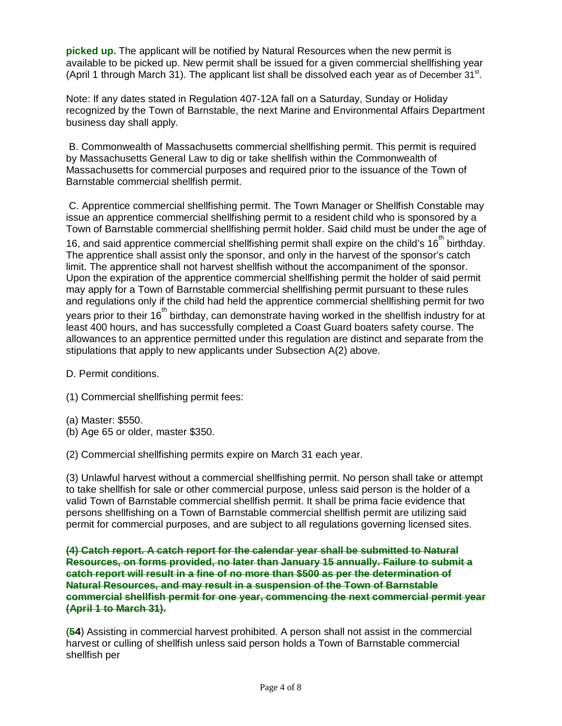**picked up.** The applicant will be notified by Natural Resources when the new permit is available to be picked up. New permit shall be issued for a given commercial shellfishing year (April 1 through March 31). The applicant list shall be dissolved each year as of December  $31<sup>st</sup>$ .

Note: If any dates stated in Regulation 407-12A fall on a Saturday, Sunday or Holiday recognized by the Town of Barnstable, the next Marine and Environmental Affairs Department business day shall apply.

B. Commonwealth of Massachusetts commercial shellfishing permit. This permit is required by Massachusetts General Law to dig or take shellfish within the Commonwealth of Massachusetts for commercial purposes and required prior to the issuance of the Town of Barnstable commercial shellfish permit.

C. Apprentice commercial shellfishing permit. The Town Manager or Shellfish Constable may issue an apprentice commercial shellfishing permit to a resident child who is sponsored by a Town of Barnstable commercial shellfishing permit holder. Said child must be under the age of 16, and said apprentice commercial shellfishing permit shall expire on the child's  $16<sup>th</sup>$  birthday. The apprentice shall assist only the sponsor, and only in the harvest of the sponsor's catch limit. The apprentice shall not harvest shellfish without the accompaniment of the sponsor. Upon the expiration of the apprentice commercial shellfishing permit the holder of said permit may apply for a Town of Barnstable commercial shellfishing permit pursuant to these rules and regulations only if the child had held the apprentice commercial shellfishing permit for two years prior to their 16<sup>th</sup> birthday, can demonstrate having worked in the shellfish industry for at least 400 hours, and has successfully completed a Coast Guard boaters safety course. The allowances to an apprentice permitted under this regulation are distinct and separate from the stipulations that apply to new applicants under Subsection A(2) above.

D. Permit conditions.

(1) Commercial shellfishing permit fees:

- (a) Master: \$550.
- (b) Age 65 or older, master \$350.

(2) Commercial shellfishing permits expire on March 31 each year.

(3) Unlawful harvest without a commercial shellfishing permit. No person shall take or attempt to take shellfish for sale or other commercial purpose, unless said person is the holder of a valid Town of Barnstable commercial shellfish permit. It shall be prima facie evidence that persons shellfishing on a Town of Barnstable commercial shellfish permit are utilizing said permit for commercial purposes, and are subject to all regulations governing licensed sites.

**(4) Catch report. A catch report for the calendar year shall be submitted to Natural Resources, on forms provided, no later than January 15 annually. Failure to submit a catch report will result in a fine of no more than \$500 as per the determination of Natural Resources, and may result in a suspension of the Town of Barnstable commercial shellfish permit for one year, commencing the next commercial permit year (April 1 to March 31).**

(**54**) Assisting in commercial harvest prohibited. A person shall not assist in the commercial harvest or culling of shellfish unless said person holds a Town of Barnstable commercial shellfish per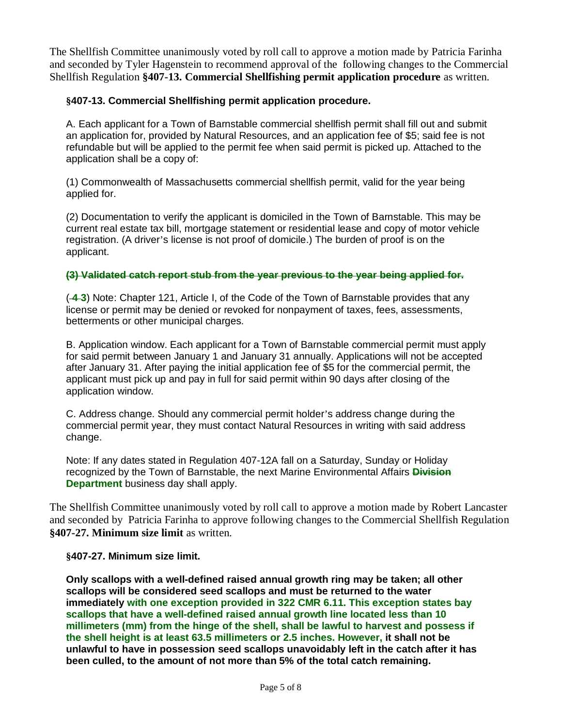The Shellfish Committee unanimously voted by roll call to approve a motion made by Patricia Farinha and seconded by Tyler Hagenstein to recommend approval of the following changes to the Commercial Shellfish Regulation **§407-13. Commercial Shellfishing permit application procedure** as written.

## **§407-13. Commercial Shellfishing permit application procedure.**

A. Each applicant for a Town of Barnstable commercial shellfish permit shall fill out and submit an application for, provided by Natural Resources, and an application fee of \$5; said fee is not refundable but will be applied to the permit fee when said permit is picked up. Attached to the application shall be a copy of:

(1) Commonwealth of Massachusetts commercial shellfish permit, valid for the year being applied for.

(2) Documentation to verify the applicant is domiciled in the Town of Barnstable. This may be current real estate tax bill, mortgage statement or residential lease and copy of motor vehicle registration. (A driver's license is not proof of domicile.) The burden of proof is on the applicant.

## **(3) Validated catch report stub from the year previous to the year being applied for.**

( **4 3**) Note: Chapter 121, Article I, of the Code of the Town of Barnstable provides that any license or permit may be denied or revoked for nonpayment of taxes, fees, assessments, betterments or other municipal charges.

B. Application window. Each applicant for a Town of Barnstable commercial permit must apply for said permit between January 1 and January 31 annually. Applications will not be accepted after January 31. After paying the initial application fee of \$5 for the commercial permit, the applicant must pick up and pay in full for said permit within 90 days after closing of the application window.

C. Address change. Should any commercial permit holder's address change during the commercial permit year, they must contact Natural Resources in writing with said address change.

Note: If any dates stated in Regulation 407-12A fall on a Saturday, Sunday or Holiday recognized by the Town of Barnstable, the next Marine Environmental Affairs **Division Department** business day shall apply.

The Shellfish Committee unanimously voted by roll call to approve a motion made by Robert Lancaster and seconded by Patricia Farinha to approve following changes to the Commercial Shellfish Regulation **§407-27. Minimum size limit** as written.

#### **§407-27. Minimum size limit.**

**Only scallops with a well-defined raised annual growth ring may be taken; all other scallops will be considered seed scallops and must be returned to the water immediately with one exception provided in 322 CMR 6.11. This exception states bay scallops that have a well-defined raised annual growth line located less than 10 millimeters (mm) from the hinge of the shell, shall be lawful to harvest and possess if the shell height is at least 63.5 millimeters or 2.5 inches. However, it shall not be unlawful to have in possession seed scallops unavoidably left in the catch after it has been culled, to the amount of not more than 5% of the total catch remaining.**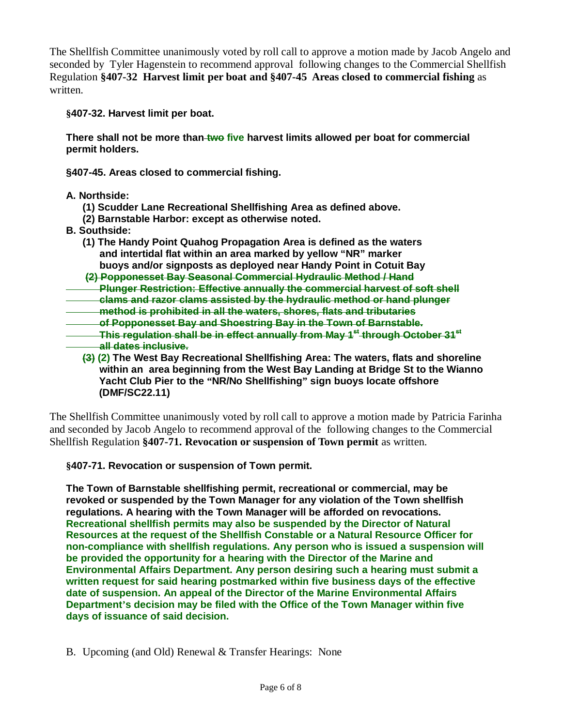The Shellfish Committee unanimously voted by roll call to approve a motion made by Jacob Angelo and seconded by Tyler Hagenstein to recommend approval following changes to the Commercial Shellfish Regulation **§407-32 Harvest limit per boat and §407-45 Areas closed to commercial fishing** as written.

**§407-32. Harvest limit per boat.**

**There shall not be more than two five harvest limits allowed per boat for commercial permit holders.**

**§407-45. Areas closed to commercial fishing.**

## **A. Northside:**

- **(1) Scudder Lane Recreational Shellfishing Area as defined above.**
- **(2) Barnstable Harbor: except as otherwise noted.**
- **B. Southside:**
	- **(1) The Handy Point Quahog Propagation Area is defined as the waters and intertidal flat within an area marked by yellow "NR" marker buoys and/or signposts as deployed near Handy Point in Cotuit Bay**

**(2) Popponesset Bay Seasonal Commercial Hydraulic Method / Hand**

 **Plunger Restriction: Effective annually the commercial harvest of soft shell clams and razor clams assisted by the hydraulic method or hand plunger**

 **method is prohibited in all the waters, shores, flats and tributaries**

 **of Popponesset Bay and Shoestring Bay in the Town of Barnstable.** 

- **This regulation shall be in effect annually from May 1st through October 31st all dates inclusive.**
	- **(3) (2) The West Bay Recreational Shellfishing Area: The waters, flats and shoreline within an area beginning from the West Bay Landing at Bridge St to the Wianno Yacht Club Pier to the "NR/No Shellfishing" sign buoys locate offshore (DMF/SC22.11)**

The Shellfish Committee unanimously voted by roll call to approve a motion made by Patricia Farinha and seconded by Jacob Angelo to recommend approval of the following changes to the Commercial Shellfish Regulation **§407-71. Revocation or suspension of Town permit** as written.

**§407-71. Revocation or suspension of Town permit.**

**The Town of Barnstable shellfishing permit, recreational or commercial, may be revoked or suspended by the Town Manager for any violation of the Town shellfish regulations. A hearing with the Town Manager will be afforded on revocations. Recreational shellfish permits may also be suspended by the Director of Natural Resources at the request of the Shellfish Constable or a Natural Resource Officer for non-compliance with shellfish regulations. Any person who is issued a suspension will be provided the opportunity for a hearing with the Director of the Marine and Environmental Affairs Department. Any person desiring such a hearing must submit a written request for said hearing postmarked within five business days of the effective date of suspension. An appeal of the Director of the Marine Environmental Affairs Department's decision may be filed with the Office of the Town Manager within five days of issuance of said decision.** 

B. Upcoming (and Old) Renewal & Transfer Hearings: None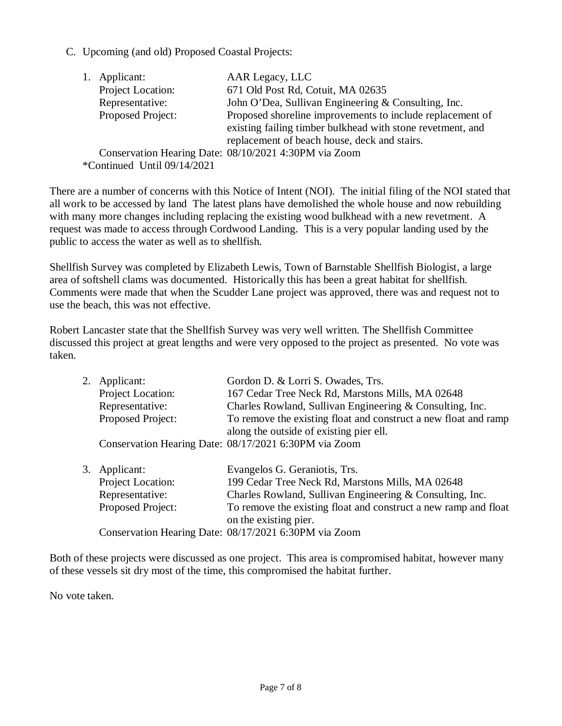C. Upcoming (and old) Proposed Coastal Projects:

|                             | 1. Applicant:     | AAR Legacy, LLC                                            |  |  |
|-----------------------------|-------------------|------------------------------------------------------------|--|--|
|                             | Project Location: | 671 Old Post Rd, Cotuit, MA 02635                          |  |  |
|                             | Representative:   | John O'Dea, Sullivan Engineering & Consulting, Inc.        |  |  |
|                             | Proposed Project: | Proposed shoreline improvements to include replacement of  |  |  |
|                             |                   | existing failing timber bulkhead with stone revetment, and |  |  |
|                             |                   | replacement of beach house, deck and stairs.               |  |  |
|                             |                   | Conservation Hearing Date: 08/10/2021 4:30PM via Zoom      |  |  |
| *Continued Until 09/14/2021 |                   |                                                            |  |  |

There are a number of concerns with this Notice of Intent (NOI). The initial filing of the NOI stated that all work to be accessed by land The latest plans have demolished the whole house and now rebuilding with many more changes including replacing the existing wood bulkhead with a new revetment. A request was made to access through Cordwood Landing. This is a very popular landing used by the public to access the water as well as to shellfish.

Shellfish Survey was completed by Elizabeth Lewis, Town of Barnstable Shellfish Biologist, a large area of softshell clams was documented. Historically this has been a great habitat for shellfish. Comments were made that when the Scudder Lane project was approved, there was and request not to use the beach, this was not effective.

Robert Lancaster state that the Shellfish Survey was very well written. The Shellfish Committee discussed this project at great lengths and were very opposed to the project as presented. No vote was taken.

| Applicant:        | Gordon D. & Lorri S. Owades, Trs.                               |
|-------------------|-----------------------------------------------------------------|
| Project Location: | 167 Cedar Tree Neck Rd, Marstons Mills, MA 02648                |
| Representative:   | Charles Rowland, Sullivan Engineering & Consulting, Inc.        |
| Proposed Project: | To remove the existing float and construct a new float and ramp |
|                   | along the outside of existing pier ell.                         |
|                   | Conservation Hearing Date: 08/17/2021 6:30PM via Zoom           |
|                   | Evangelos G. Geraniotis, Trs.                                   |
| Project Location: | 199 Cedar Tree Neck Rd, Marstons Mills, MA 02648                |
| Representative:   | Charles Rowland, Sullivan Engineering & Consulting, Inc.        |
| Proposed Project: | To remove the existing float and construct a new ramp and float |
|                   | 2.<br>3. Applicant:                                             |

on the existing pier. Conservation Hearing Date: 08/17/2021 6:30PM via Zoom

Both of these projects were discussed as one project. This area is compromised habitat, however many of these vessels sit dry most of the time, this compromised the habitat further.

No vote taken.